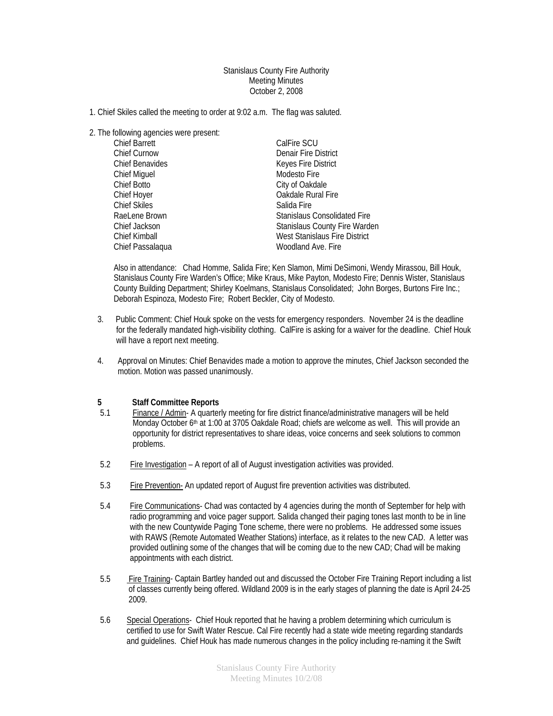Stanislaus County Fire Authority Meeting Minutes October 2, 2008

- 1. Chief Skiles called the meeting to order at 9:02 a.m. The flag was saluted.
- 2. The following agencies were present:

| <b>Chief Barrett</b>   | CalFire SCU                          |
|------------------------|--------------------------------------|
| <b>Chief Curnow</b>    | Denair Fire District                 |
| <b>Chief Benavides</b> | Keyes Fire District                  |
| <b>Chief Miguel</b>    | Modesto Fire                         |
| Chief Botto            | City of Oakdale                      |
| Chief Hoyer            | Oakdale Rural Fire                   |
| <b>Chief Skiles</b>    | Salida Fire                          |
| RaeLene Brown          | Stanislaus Consolidated Fire         |
| Chief Jackson          | <b>Stanislaus County Fire Warden</b> |
| Chief Kimball          | West Stanislaus Fire District        |
| Chief Passalagua       | Woodland Ave. Fire                   |

Also in attendance: Chad Homme, Salida Fire; Ken Slamon, Mimi DeSimoni, Wendy Mirassou, Bill Houk, Stanislaus County Fire Warden's Office; Mike Kraus, Mike Payton, Modesto Fire; Dennis Wister, Stanislaus County Building Department; Shirley Koelmans, Stanislaus Consolidated; John Borges, Burtons Fire Inc.; Deborah Espinoza, Modesto Fire; Robert Beckler, City of Modesto.

- 3. Public Comment: Chief Houk spoke on the vests for emergency responders. November 24 is the deadline for the federally mandated high-visibility clothing. CalFire is asking for a waiver for the deadline. Chief Houk will have a report next meeting.
- 4. Approval on Minutes: Chief Benavides made a motion to approve the minutes, Chief Jackson seconded the motion. Motion was passed unanimously.

## **5 Staff Committee Reports**<br> **5.1** Finance / Admin- A quarter

- 5.1 Finance / Admin- A quarterly meeting for fire district finance/administrative managers will be held Monday October 6<sup>th</sup> at 1:00 at 3705 Oakdale Road; chiefs are welcome as well. This will provide an opportunity for district representatives to share ideas, voice concerns and seek solutions to common problems.
- 5.2 Fire Investigation A report of all of August investigation activities was provided.
- 5.3 Fire Prevention- An updated report of August fire prevention activities was distributed.
- 5.4 Fire Communications- Chad was contacted by 4 agencies during the month of September for help with radio programming and voice pager support. Salida changed their paging tones last month to be in line with the new Countywide Paging Tone scheme, there were no problems. He addressed some issues with RAWS (Remote Automated Weather Stations) interface, as it relates to the new CAD. A letter was provided outlining some of the changes that will be coming due to the new CAD; Chad will be making appointments with each district.
- 5.5 Fire Training- Captain Bartley handed out and discussed the October Fire Training Report including a list of classes currently being offered. Wildland 2009 is in the early stages of planning the date is April 24-25 2009.
- 5.6 Special Operations- Chief Houk reported that he having a problem determining which curriculum is certified to use for Swift Water Rescue. Cal Fire recently had a state wide meeting regarding standards and guidelines. Chief Houk has made numerous changes in the policy including re-naming it the Swift